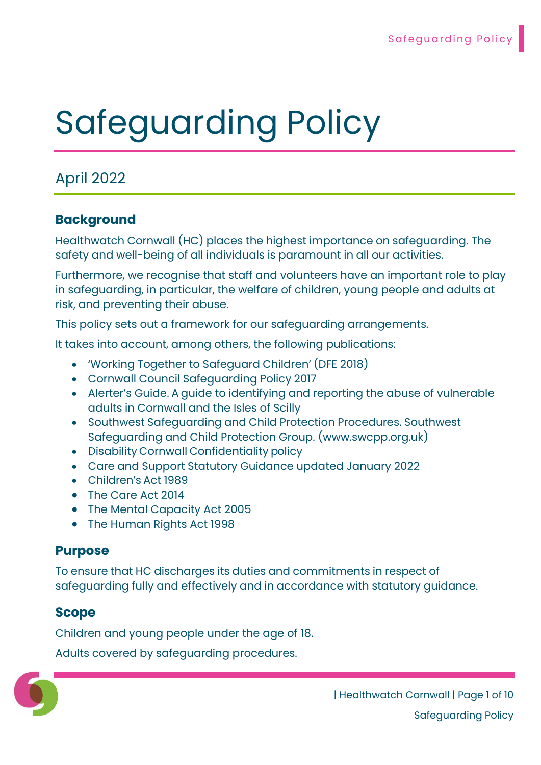# Safeguarding Policy

## April 2022

## Background

Healthwatch Cornwall (HC) places the highest importance on safeguarding. The safety and well-being of all individuals is paramount in all our activities.

Furthermore, we recognise that staff and volunteers have an important role to play in safeguarding, in particular, the welfare of children, young people and adults at risk, and preventing their abuse.

This policy sets out a framework for our safeguarding arrangements.

It takes into account, among others, the following publications:

- 'Working Together to Safeguard Children' (DFE 2018)
- Cornwall Council Safeguarding Policy 2017
- Alerter's Guide. A guide to identifying and reporting the abuse of vulnerable adults in Cornwall and the Isles of Scilly
- Southwest Safeguarding and Child Protection Procedures. Southwest Safeguarding and Child Protection Group. (www.swcpp.org.uk)
- Disability Cornwall Confidentiality policy
- Care and Support Statutory Guidance updated January 2022
- Children's Act 1989
- The Care Act 2014
- The Mental Capacity Act 2005
- The Human Rights Act 1998

#### Purpose

To ensure that HC discharges its duties and commitments in respect of safeguarding fully and effectively and in accordance with statutory guidance.

#### Scope

Children and young people under the age of 18.

Adults covered by safeguarding procedures.

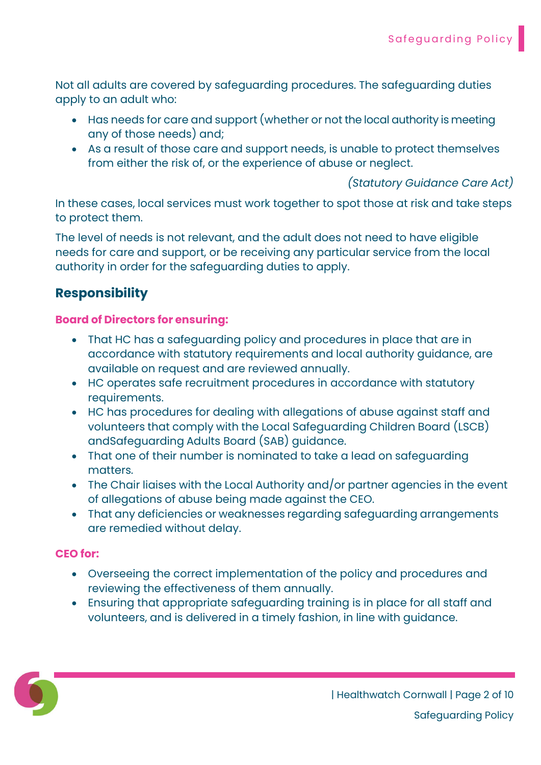Not all adults are covered by safeguarding procedures. The safeguarding duties apply to an adult who:

- Has needs for care and support (whether or not the local authority is meeting any of those needs) and;
- As a result of those care and support needs, is unable to protect themselves from either the risk of, or the experience of abuse or neglect.

(Statutory Guidance Care Act)

In these cases, local services must work together to spot those at risk and take steps to protect them.

The level of needs is not relevant, and the adult does not need to have eligible needs for care and support, or be receiving any particular service from the local authority in order for the safeguarding duties to apply.

## Responsibility

#### Board of Directors for ensuring:

- That HC has a safeguarding policy and procedures in place that are in accordance with statutory requirements and local authority guidance, are available on request and are reviewed annually.
- HC operates safe recruitment procedures in accordance with statutory requirements.
- HC has procedures for dealing with allegations of abuse against staff and volunteers that comply with the Local Safeguarding Children Board (LSCB) and Safeguarding Adults Board (SAB) guidance.
- That one of their number is nominated to take a lead on safeguarding matters.
- The Chair liaises with the Local Authority and/or partner agencies in the event of allegations of abuse being made against the CEO.
- That any deficiencies or weaknesses regarding safeguarding arrangements are remedied without delay.

#### CEO for:

- Overseeing the correct implementation of the policy and procedures and reviewing the effectiveness of them annually.
- Ensuring that appropriate safeguarding training is in place for all staff and volunteers, and is delivered in a timely fashion, in line with guidance.

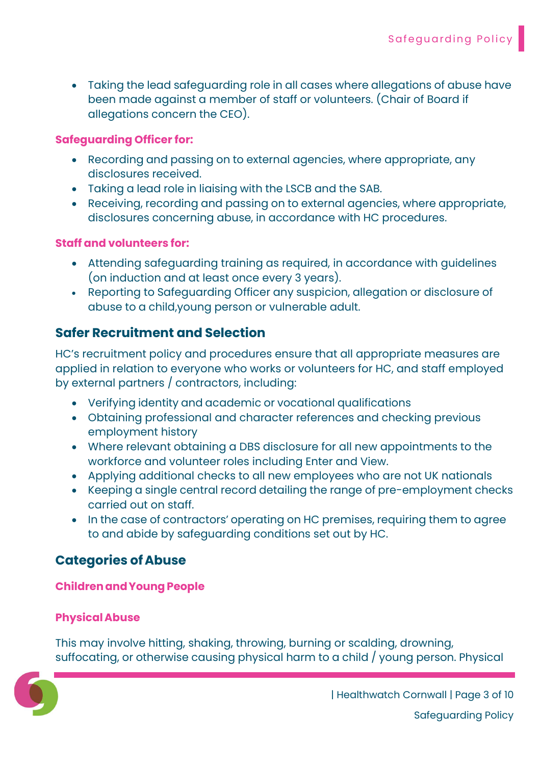Taking the lead safeguarding role in all cases where allegations of abuse have been made against a member of staff or volunteers. (Chair of Board if allegations concern the CEO).

#### Safeguarding Officer for:

- Recording and passing on to external agencies, where appropriate, any disclosures received.
- Taking a lead role in liaising with the LSCB and the SAB.
- Receiving, recording and passing on to external agencies, where appropriate, disclosures concerning abuse, in accordance with HC procedures.

#### Staff and volunteers for:

- Attending safeguarding training as required, in accordance with guidelines (on induction and at least once every 3 years).
- Reporting to Safeguarding Officer any suspicion, allegation or disclosure of abuse to a child, young person or vulnerable adult.

## Safer Recruitment and Selection

HC's recruitment policy and procedures ensure that all appropriate measures are applied in relation to everyone who works or volunteers for HC, and staff employed by external partners / contractors, including:

- Verifying identity and academic or vocational qualifications
- Obtaining professional and character references and checking previous employment history
- Where relevant obtaining a DBS disclosure for all new appointments to the workforce and volunteer roles including Enter and View.
- Applying additional checks to all new employees who are not UK nationals
- Keeping a single central record detailing the range of pre-employment checks carried out on staff.
- In the case of contractors' operating on HC premises, requiring them to agree to and abide by safeguarding conditions set out by HC.

## Categories of Abuse

#### Children and Young People

#### Physical Abuse

This may involve hitting, shaking, throwing, burning or scalding, drowning, suffocating, or otherwise causing physical harm to a child / young person. Physical

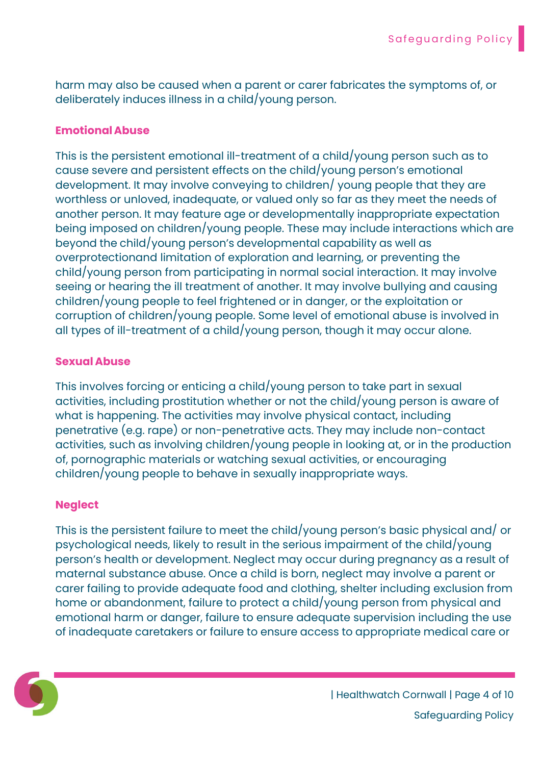harm may also be caused when a parent or carer fabricates the symptoms of, or deliberately induces illness in a child/young person.

#### Emotional Abuse

This is the persistent emotional ill-treatment of a child/young person such as to cause severe and persistent effects on the child/young person's emotional development. It may involve conveying to children/ young people that they are worthless or unloved, inadequate, or valued only so far as they meet the needs of another person. It may feature age or developmentally inappropriate expectation being imposed on children/young people. These may include interactions which are beyond the child/young person's developmental capability as well as overprotection and limitation of exploration and learning, or preventing the child/young person from participating in normal social interaction. It may involve seeing or hearing the ill treatment of another. It may involve bullying and causing children/young people to feel frightened or in danger, or the exploitation or corruption of children/young people. Some level of emotional abuse is involved in all types of ill-treatment of a child/young person, though it may occur alone.

#### Sexual Abuse

This involves forcing or enticing a child/young person to take part in sexual activities, including prostitution whether or not the child/young person is aware of what is happening. The activities may involve physical contact, including penetrative (e.g. rape) or non-penetrative acts. They may include non-contact activities, such as involving children/young people in looking at, or in the production of, pornographic materials or watching sexual activities, or encouraging children/young people to behave in sexually inappropriate ways.

#### **Neglect**

This is the persistent failure to meet the child/young person's basic physical and/ or psychological needs, likely to result in the serious impairment of the child/young person's health or development. Neglect may occur during pregnancy as a result of maternal substance abuse. Once a child is born, neglect may involve a parent or carer failing to provide adequate food and clothing, shelter including exclusion from home or abandonment, failure to protect a child/young person from physical and emotional harm or danger, failure to ensure adequate supervision including the use of inadequate caretakers or failure to ensure access to appropriate medical care or



| Healthwatch Cornwall | Page 4 of 10 Safeguarding Policy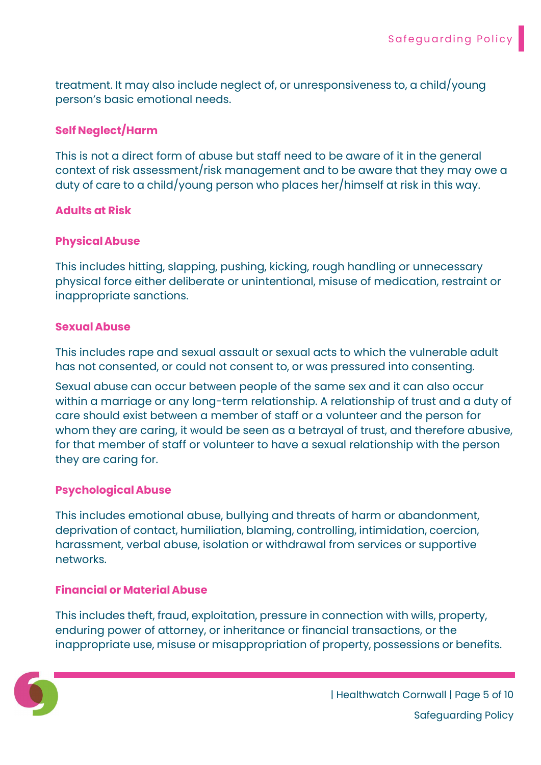treatment. It may also include neglect of, or unresponsiveness to, a child/young person's basic emotional needs.

#### Self Neglect/Harm

This is not a direct form of abuse but staff need to be aware of it in the general context of risk assessment/risk management and to be aware that they may owe a duty of care to a child/young person who places her/himself at risk in this way.

#### Adults at Risk

#### Physical Abuse

This includes hitting, slapping, pushing, kicking, rough handling or unnecessary physical force either deliberate or unintentional, misuse of medication, restraint or inappropriate sanctions.

#### Sexual Abuse

This includes rape and sexual assault or sexual acts to which the vulnerable adult has not consented, or could not consent to, or was pressured into consenting.

Sexual abuse can occur between people of the same sex and it can also occur within a marriage or any long-term relationship. A relationship of trust and a duty of care should exist between a member of staff or a volunteer and the person for whom they are caring, it would be seen as a betrayal of trust, and therefore abusive, for that member of staff or volunteer to have a sexual relationship with the person they are caring for.

#### Psychological Abuse

This includes emotional abuse, bullying and threats of harm or abandonment, deprivation of contact, humiliation, blaming, controlling, intimidation, coercion, harassment, verbal abuse, isolation or withdrawal from services or supportive networks.

#### Financial or Material Abuse

This includes theft, fraud, exploitation, pressure in connection with wills, property, enduring power of attorney, or inheritance or financial transactions, or the inappropriate use, misuse or misappropriation of property, possessions or benefits.

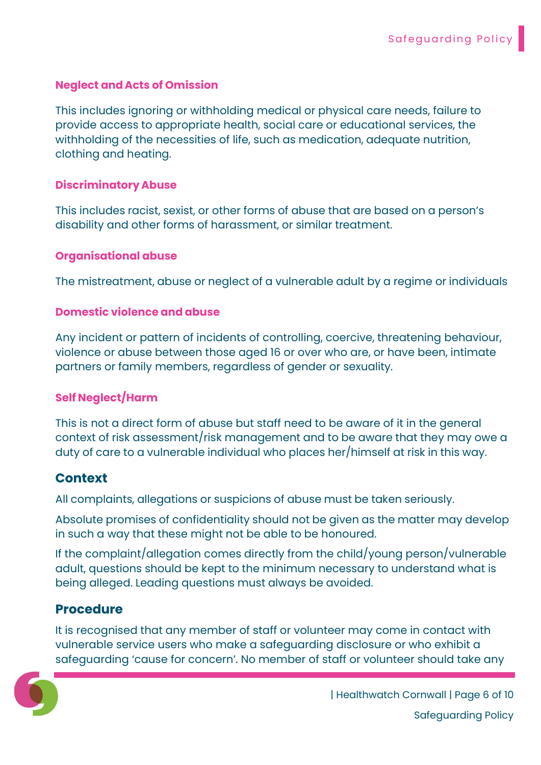#### Neglect and Acts of Omission

This includes ignoring or withholding medical or physical care needs, failure to provide access to appropriate health, social care or educational services, the withholding of the necessities of life, such as medication, adequate nutrition, clothing and heating.

#### Discriminatory Abuse

This includes racist, sexist, or other forms of abuse that are based on a person's disability and other forms of harassment, or similar treatment.

#### Organisational abuse

The mistreatment, abuse or neglect of a vulnerable adult by a regime or individuals

#### Domestic violence and abuse

Any incident or pattern of incidents of controlling, coercive, threatening behaviour, violence or abuse between those aged 16 or over who are, or have been, intimate partners or family members, regardless of gender or sexuality.

#### Self Neglect/Harm

This is not a direct form of abuse but staff need to be aware of it in the general context of risk assessment/risk management and to be aware that they may owe a duty of care to a vulnerable individual who places her/himself at risk in this way.

#### Context

All complaints, allegations or suspicions of abuse must be taken seriously.

Absolute promises of confidentiality should not be given as the matter may develop in such a way that these might not be able to be honoured.

If the complaint/allegation comes directly from the child/young person/vulnerable adult, questions should be kept to the minimum necessary to understand what is being alleged. Leading questions must always be avoided.

#### Procedure

It is recognised that any member of staff or volunteer may come in contact with vulnerable service users who make a safeguarding disclosure or who exhibit a safeguarding 'cause for concern'. No member of staff or volunteer should take any

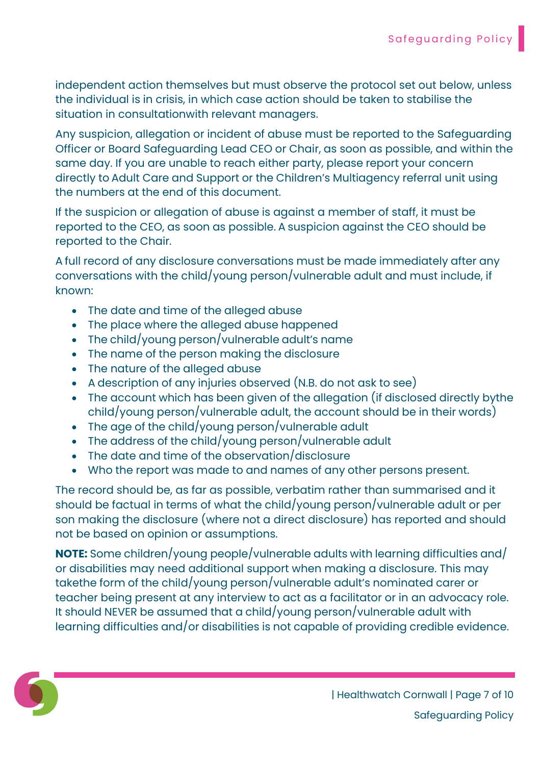independent action themselves but must observe the protocol set out below, unless the individual is in crisis, in which case action should be taken to stabilise the situation in consultation with relevant managers.

Any suspicion, allegation or incident of abuse must be reported to the Safeguarding Officer or Board Safeguarding Lead CEO or Chair, as soon as possible, and within the same day. If you are unable to reach either party, please report your concern directly to Adult Care and Support or the Children's Multiagency referral unit using the numbers at the end of this document.

If the suspicion or allegation of abuse is against a member of staff, it must be reported to the CEO, as soon as possible. A suspicion against the CEO should be reported to the Chair.

A full record of any disclosure conversations must be made immediately after any conversations with the child/young person/vulnerable adult and must include, if known:

- The date and time of the alleged abuse
- The place where the alleged abuse happened
- The child/young person/vulnerable adult's name
- The name of the person making the disclosure
- The nature of the alleged abuse
- A description of any injuries observed (N.B. do not ask to see)
- The account which has been given of the allegation (if disclosed directly by the child/young person/vulnerable adult, the account should be in their words)
- The age of the child/young person/vulnerable adult
- The address of the child/young person/vulnerable adult
- The date and time of the observation/disclosure
- Who the report was made to and names of any other persons present.

The record should be, as far as possible, verbatim rather than summarised and it should be factual in terms of what the child/young person/vulnerable adult or per son making the disclosure (where not a direct disclosure) has reported and should not be based on opinion or assumptions.

NOTE: Some children/young people/vulnerable adults with learning difficulties and/ or disabilities may need additional support when making a disclosure. This may take the form of the child/young person/vulnerable adult's nominated carer or teacher being present at any interview to act as a facilitator or in an advocacy role. It should NEVER be assumed that a child/young person/vulnerable adult with learning difficulties and/or disabilities is not capable of providing credible evidence.

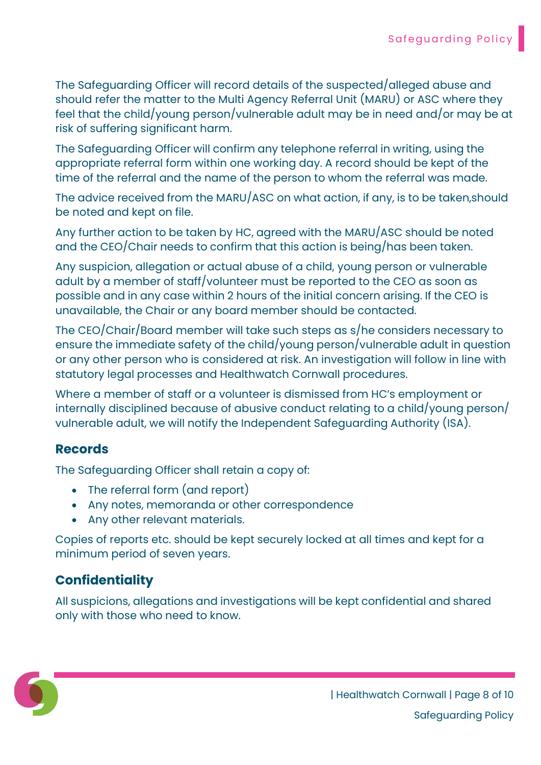The Safeguarding Officer will record details of the suspected/alleged abuse and should refer the matter to the Multi Agency Referral Unit (MARU) or ASC where they feel that the child/young person/vulnerable adult may be in need and/or may be at risk of suffering significant harm.

The Safeguarding Officer will confirm any telephone referral in writing, using the appropriate referral form within one working day. A record should be kept of the time of the referral and the name of the person to whom the referral was made.

The advice received from the MARU/ASC on what action, if any, is to be taken, should be noted and kept on file.

Any further action to be taken by HC, agreed with the MARU/ASC should be noted and the CEO/Chair needs to confirm that this action is being/has been taken.

Any suspicion, allegation or actual abuse of a child, young person or vulnerable adult by a member of staff/volunteer must be reported to the CEO as soon as possible and in any case within 2 hours of the initial concern arising. If the CEO is unavailable, the Chair or any board member should be contacted.

The CEO/Chair/Board member will take such steps as s/he considers necessary to ensure the immediate safety of the child/young person/vulnerable adult in question or any other person who is considered at risk. An investigation will follow in line with statutory legal processes and Healthwatch Cornwall procedures.

Where a member of staff or a volunteer is dismissed from HC's employment or internally disciplined because of abusive conduct relating to a child/young person/ vulnerable adult, we will notify the Independent Safeguarding Authority (ISA).

## **Records**

The Safeguarding Officer shall retain a copy of:

- The referral form (and report)
- Any notes, memoranda or other correspondence
- Any other relevant materials.

Copies of reports etc. should be kept securely locked at all times and kept for a minimum period of seven years.

## **Confidentiality**

All suspicions, allegations and investigations will be kept confidential and shared only with those who need to know.

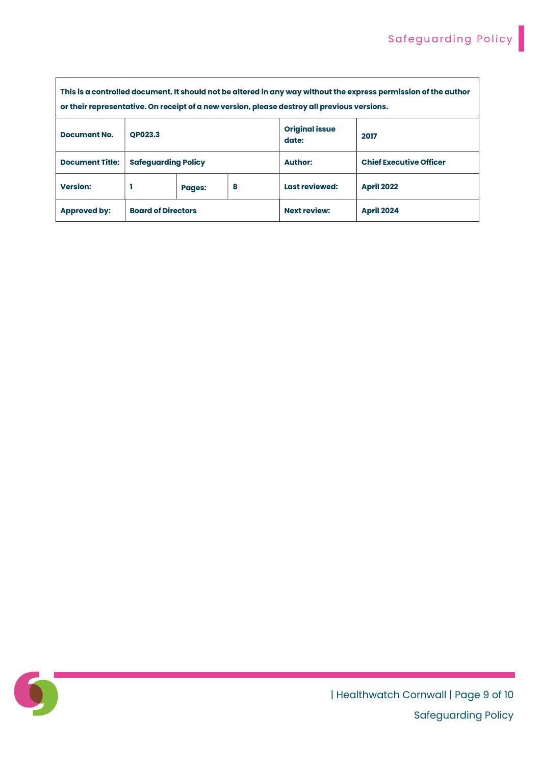| This is a controlled document. It should not be altered in any way without the express permission of the author<br>or their representative. On receipt of a new version, please destroy all previous versions. |                            |               |   |                                |                                |
|----------------------------------------------------------------------------------------------------------------------------------------------------------------------------------------------------------------|----------------------------|---------------|---|--------------------------------|--------------------------------|
| <b>Document No.</b>                                                                                                                                                                                            | <b>OP023.3</b>             |               |   | <b>Original issue</b><br>date: | 2017                           |
| <b>Document Title:</b>                                                                                                                                                                                         | <b>Safequarding Policy</b> |               |   | <b>Author:</b>                 | <b>Chief Executive Officer</b> |
| <b>Version:</b>                                                                                                                                                                                                |                            | <b>Pages:</b> | 8 | Last reviewed:                 | <b>April 2022</b>              |
| <b>Approved by:</b>                                                                                                                                                                                            | <b>Board of Directors</b>  |               |   | <b>Next review:</b>            | <b>April 2024</b>              |



| Healthwatch Cornwall | Page 9 of 10 Safeguarding Policy